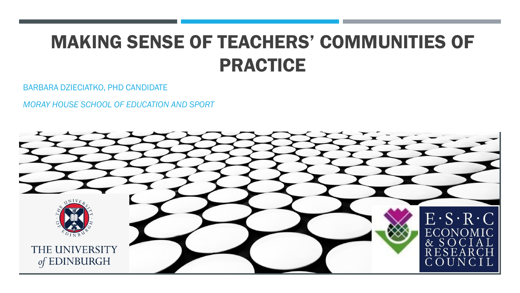# MAKING SENSE OF TEACHERS' COMMUNITIES OF PRACTICE

BARBARA DZIECIATKO, PHD CANDIDATE

*MORAY HOUSE SCHOOL OF EDUCATION AND SPORT*

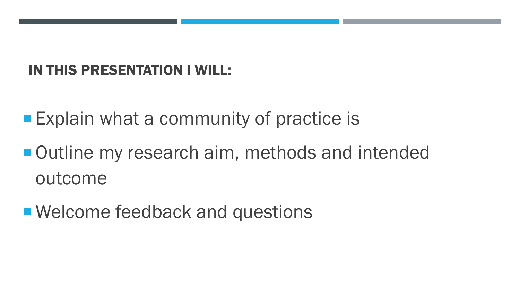#### IN THIS PRESENTATION I WILL:

**Explain what a community of practice is** 

■ Outline my research aim, methods and intended outcome

■ Welcome feedback and questions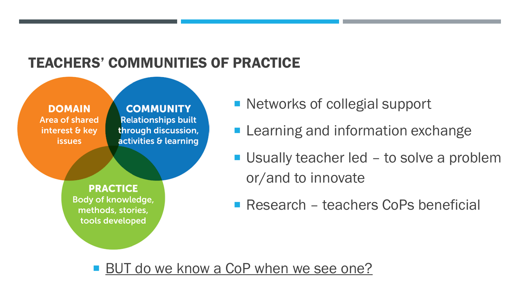### TEACHERS' COMMUNITIES OF PRACTICE



**COMMUNITY Relationships built** through discussion, activities & learning

**PRACTICE** Body of knowledge, methods, stories, tools developed

- Networks of collegial support
- **Learning and information exchange**
- Usually teacher led to solve a problem or/and to innovate
- Research teachers CoPs beneficial

**BUT do we know a CoP when we see one?**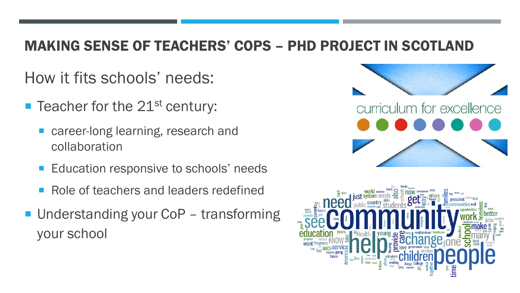#### MAKING SENSE OF TEACHERS' COPS – PHD PROJECT IN SCOTLAND

How it fits schools' needs:

- $\blacksquare$  Teacher for the 21<sup>st</sup> century:
	- career-long learning, research and collaboration
	- **Education responsive to schools' needs**
	- Role of teachers and leaders redefined
- Understanding your CoP transforming your school



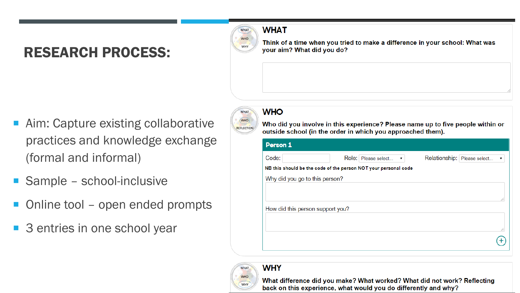### RESEARCH PROCESS:



Think of a time when you tried to make a difference in your school: What was your aim? What did you do?

- Aim: Capture existing collaborative practices and knowledge exchange (formal and informal)
- Sample school-inclusive
- Online tool open ended prompts
- 3 entries in one school year



#### **WHO**

Who did you involve in this experience? Please name up to five people within or outside school (in the order in which you approached them).

| Person 1                         |                                                                 |                                |                      |
|----------------------------------|-----------------------------------------------------------------|--------------------------------|----------------------|
| Code:                            | Role: Please select<br>$\mathbf{v}$ .                           | Relationship:<br>Please select | $\blacktriangledown$ |
|                                  | NB this should be the code of the person NOT your personal code |                                |                      |
| Why did you go to this person?   |                                                                 |                                |                      |
|                                  |                                                                 |                                |                      |
|                                  |                                                                 |                                | 71                   |
| How did this person support you? |                                                                 |                                |                      |
|                                  |                                                                 |                                |                      |
|                                  |                                                                 |                                | 11                   |
|                                  |                                                                 |                                |                      |
|                                  |                                                                 |                                |                      |



**WHY** 

What difference did you make? What worked? What did not work? Reflecting back on this experience, what would you do differently and why?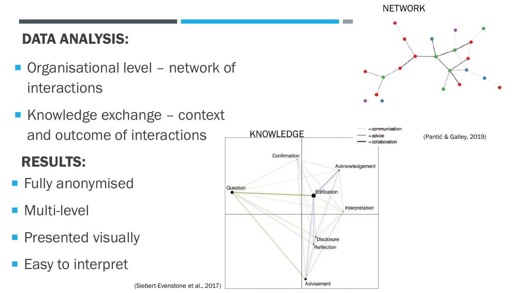#### DATA ANALYSIS:

- Organisational level network of interactions
- Knowledge exchange context and outcome of interactions

(Siebert-Evenstone et al., 2017)

# RESULTS:

- **Fully anonymised**
- **Multi-level**
- **Presented visually**
- Easy to interpret

### KNOWLEDGE collaboration Confirmation Acknowledgement Question Edification Interpretation **Disclosure** Reflection Advisement

#### NETWORK



(Pantić & Galley, 2019)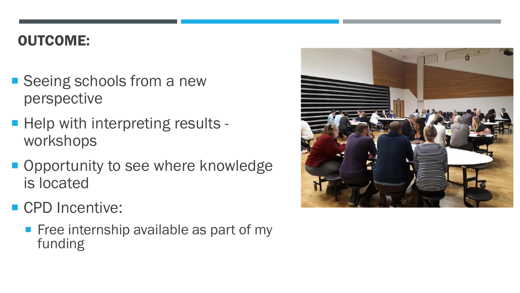#### OUTCOME:

- Seeing schools from a new perspective
- **Help with interpreting results** workshops
- **Opportunity to see where knowledge** is located
- CPD Incentive:
	- $\blacksquare$  Free internship available as part of my funding